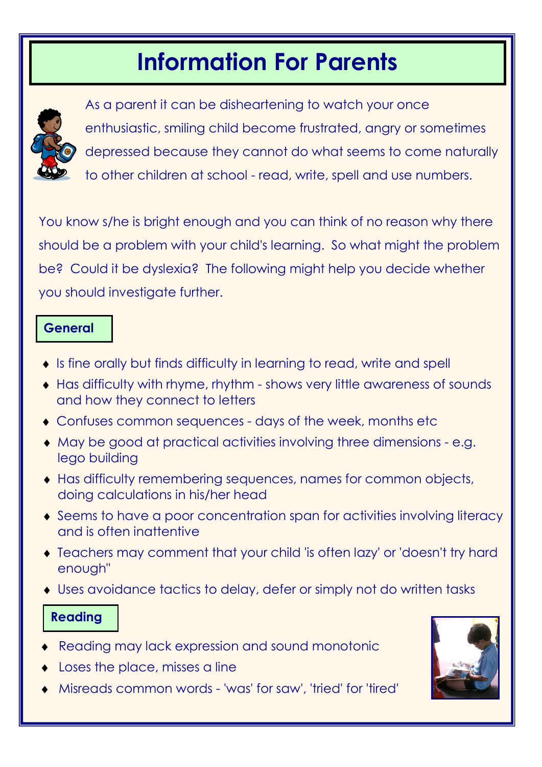# Information For Parents



As a parent it can be disheartening to watch your once enthusiastic, smiling child become frustrated, angry or sometimes depressed because they cannot do what seems to come naturally to other children at school - read, write, spell and use numbers.

You know s/he is bright enough and you can think of no reason why there should be a problem with your child's learning. So what might the problem be? Could it be dyslexia? The following might help you decide whether you should investigate further.

### **General**

- ♦ Is fine orally but finds difficulty in learning to read, write and spell
- ♦ Has difficulty with rhyme, rhythm shows very little awareness of sounds and how they connect to letters
- ♦ Confuses common sequences days of the week, months etc
- ♦ May be good at practical activities involving three dimensions e.g. lego building
- ♦ Has difficulty remembering sequences, names for common objects, doing calculations in his/her head
- ♦ Seems to have a poor concentration span for activities involving literacy and is often inattentive
- ♦ Teachers may comment that your child 'is often lazy' or 'doesn't try hard enough"
- ♦ Uses avoidance tactics to delay, defer or simply not do written tasks

# Reading

- Reading may lack expression and sound monotonic
- Loses the place, misses a line
- Misreads common words 'was' for saw', 'tried' for 'tired'